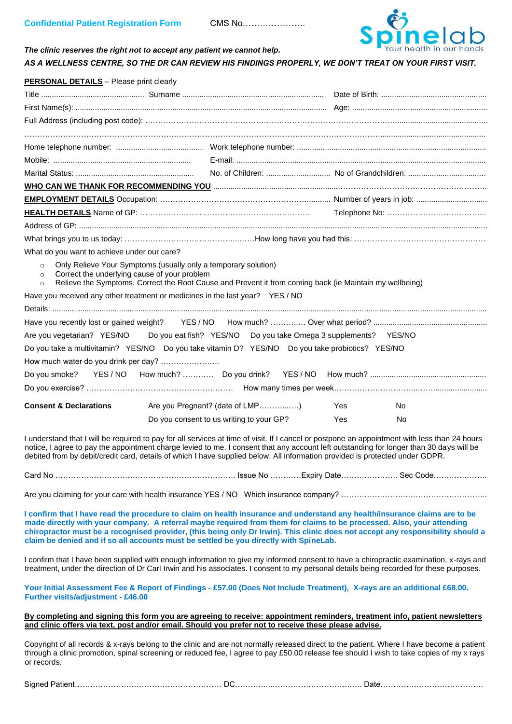

# *The clinic reserves the right not to accept any patient we cannot help. AS A WELLNESS CENTRE, SO THE DR CAN REVIEW HIS FINDINGS PROPERLY, WE DON'T TREAT ON YOUR FIRST VISIT.*

| <b>PERSONAL DETAILS</b> - Please print clearly                                                                                                                                                                                                             |                                          |     |           |  |
|------------------------------------------------------------------------------------------------------------------------------------------------------------------------------------------------------------------------------------------------------------|------------------------------------------|-----|-----------|--|
|                                                                                                                                                                                                                                                            |                                          |     |           |  |
|                                                                                                                                                                                                                                                            |                                          |     |           |  |
|                                                                                                                                                                                                                                                            |                                          |     |           |  |
|                                                                                                                                                                                                                                                            |                                          |     |           |  |
|                                                                                                                                                                                                                                                            |                                          |     |           |  |
|                                                                                                                                                                                                                                                            |                                          |     |           |  |
|                                                                                                                                                                                                                                                            |                                          |     |           |  |
|                                                                                                                                                                                                                                                            |                                          |     |           |  |
|                                                                                                                                                                                                                                                            |                                          |     |           |  |
|                                                                                                                                                                                                                                                            |                                          |     |           |  |
|                                                                                                                                                                                                                                                            |                                          |     |           |  |
|                                                                                                                                                                                                                                                            |                                          |     |           |  |
| What do you want to achieve under our care?                                                                                                                                                                                                                |                                          |     |           |  |
| Only Relieve Your Symptoms (usually only a temporary solution)<br>$\circ$<br>Correct the underlying cause of your problem<br>$\circ$<br>Relieve the Symptoms, Correct the Root Cause and Prevent it from coming back (ie Maintain my wellbeing)<br>$\circ$ |                                          |     |           |  |
| Have you received any other treatment or medicines in the last year? YES / NO                                                                                                                                                                              |                                          |     |           |  |
|                                                                                                                                                                                                                                                            |                                          |     |           |  |
|                                                                                                                                                                                                                                                            |                                          |     |           |  |
| Are you vegetarian? YES/NO Do you eat fish? YES/NO Do you take Omega 3 supplements? YES/NO                                                                                                                                                                 |                                          |     |           |  |
| Do you take a multivitamin? YES/NO Do you take vitamin D? YES/NO Do you take probiotics? YES/NO                                                                                                                                                            |                                          |     |           |  |
| How much water do you drink per day?                                                                                                                                                                                                                       |                                          |     |           |  |
|                                                                                                                                                                                                                                                            |                                          |     |           |  |
|                                                                                                                                                                                                                                                            |                                          |     |           |  |
| <b>Consent &amp; Declarations</b>                                                                                                                                                                                                                          | Are you Pregnant? (date of LMP)          | Yes | <b>No</b> |  |
|                                                                                                                                                                                                                                                            | Do you consent to us writing to your GP? | Yes | No        |  |
|                                                                                                                                                                                                                                                            |                                          |     |           |  |

I understand that I will be required to pay for all services at time of visit. If I cancel or postpone an appointment with less than 24 hours notice, I agree to pay the appointment charge levied to me. I consent that any account left outstanding for longer than 30 days will be debited from by debit/credit card, details of which I have supplied below. All information provided is protected under GDPR.

Card No ……………………………………………………………. Issue No …………Expiry Date…………………. Sec Code………….……..

Are you claiming for your care with health insurance YES / NO Which insurance company? ……………………………………………………………

**I confirm that I have read the procedure to claim on health insurance and understand any health/insurance claims are to be made directly with your company. A referral maybe required from them for claims to be processed. Also, your attending chiropractor must be a recognised provider, (this being only Dr Irwin). This clinic does not accept any responsibility should a claim be denied and if so all accounts must be settled be you directly with SpineLab.** 

I confirm that I have been supplied with enough information to give my informed consent to have a chiropractic examination, x-rays and treatment, under the direction of Dr Carl Irwin and his associates. I consent to my personal details being recorded for these purposes.

**Your Initial Assessment Fee & Report of Findings - £57.00 (Does Not Include Treatment), X-rays are an additional £68.00. Further visits/adjustment - £46.00** 

**By completing and signing this form you are agreeing to receive: appointment reminders, treatment info, patient newsletters and clinic offers via text, post and/or email. Should you prefer not to receive these please advise.**

Copyright of all records & x-rays belong to the clinic and are not normally released direct to the patient. Where I have become a patient through a clinic promotion, spinal screening or reduced fee, I agree to pay £50.00 release fee should I wish to take copies of my x rays or records.

| Signed |  |  |
|--------|--|--|
|--------|--|--|